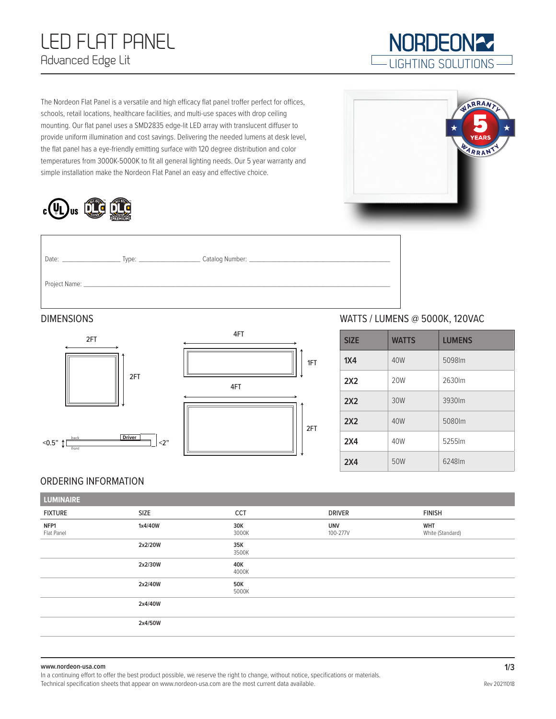# LED FLAT PANEL Advanced Edge Lit

The Nordeon Flat Panel is a versatile and high efficacy flat panel troffer perfect for offices, schools, retail locations, healthcare facilities, and multi-use spaces with drop ceiling mounting. Our flat panel uses a SMD2835 edge-lit LED array with translucent diffuser to provide uniform illumination and cost savings. Delivering the needed lumens at desk level, the flat panel has a eye-friendly emitting surface with 120 degree distribution and color temperatures from 3000K-5000K to fit all general lighting needs. Our 5 year warranty and simple installation make the Nordeon Flat Panel an easy and effective choice.



| Date: |  |
|-------|--|
|       |  |





## DIMENSIONS WATTS / LUMENS @ 5000K, 120VAC

| <b>SIZE</b>     | <b>WATTS</b> | <b>LUMENS</b> |
|-----------------|--------------|---------------|
| 1X4             | 40W          | 5098lm        |
| 2X2             | 20W          | 2630lm        |
| 2X2             | 30W          | 3930lm        |
| 2X2             | 40W          | 5080lm        |
| 2X4             | 40W          | 5255lm        |
| 2X <sub>4</sub> | 50W          | 6248lm        |

#### ORDERING INFORMATION

| <b>LUMINAIRE</b>   |         |                     |                        |                                |
|--------------------|---------|---------------------|------------------------|--------------------------------|
| <b>FIXTURE</b>     | SIZE    | <b>CCT</b>          | <b>DRIVER</b>          | <b>FINISH</b>                  |
| NFP1<br>Flat Panel | 1x4/40W | 30K<br>3000K        | <b>UNV</b><br>100-277V | <b>WHT</b><br>White (Standard) |
|                    | 2x2/20W | 35K<br>3500K        |                        |                                |
|                    | 2x2/30W | 40K<br>4000K        |                        |                                |
|                    | 2x2/40W | <b>50K</b><br>5000K |                        |                                |
|                    | 2x4/40W |                     |                        |                                |
|                    | 2x4/50W |                     |                        |                                |

#### **www.nordeon-usa.com**

In a continuing effort to offer the best product possible, we reserve the right to change, without notice, specifications or materials. Technical specification sheets that appear on www.nordeon-usa.com are the most current data available.



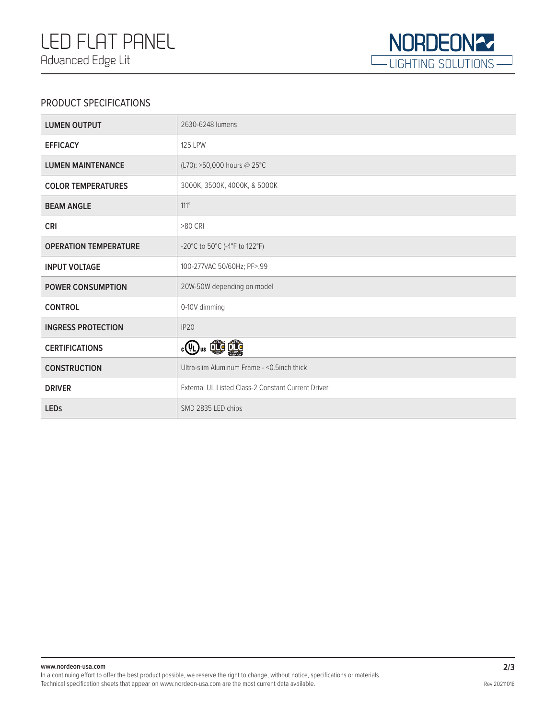

### PRODUCT SPECIFICATIONS

| <b>LUMEN OUTPUT</b>          | 2630-6248 lumens                                   |
|------------------------------|----------------------------------------------------|
| <b>EFFICACY</b>              | <b>125 LPW</b>                                     |
| <b>LUMEN MAINTENANCE</b>     | (L70): >50,000 hours @ 25°C                        |
| <b>COLOR TEMPERATURES</b>    | 3000K, 3500K, 4000K, & 5000K                       |
| <b>BEAM ANGLE</b>            | $111^\circ$                                        |
| <b>CRI</b>                   | >80 CRI                                            |
| <b>OPERATION TEMPERATURE</b> | -20°C to 50°C (-4°F to 122°F)                      |
| <b>INPUT VOLTAGE</b>         | 100-277VAC 50/60Hz; PF>.99                         |
| <b>POWER CONSUMPTION</b>     | 20W-50W depending on model                         |
| <b>CONTROL</b>               | 0-10V dimming                                      |
| <b>INGRESS PROTECTION</b>    | IP <sub>20</sub>                                   |
| <b>CERTIFICATIONS</b>        | $_{c}\mathbb{Q}$ , $\mathbb{Q}$ $\mathbb{Q}$       |
| <b>CONSTRUCTION</b>          | Ultra-slim Aluminum Frame - < 0.5 inch thick       |
| <b>DRIVER</b>                | External UL Listed Class-2 Constant Current Driver |
| <b>LEDS</b>                  | SMD 2835 LED chips                                 |